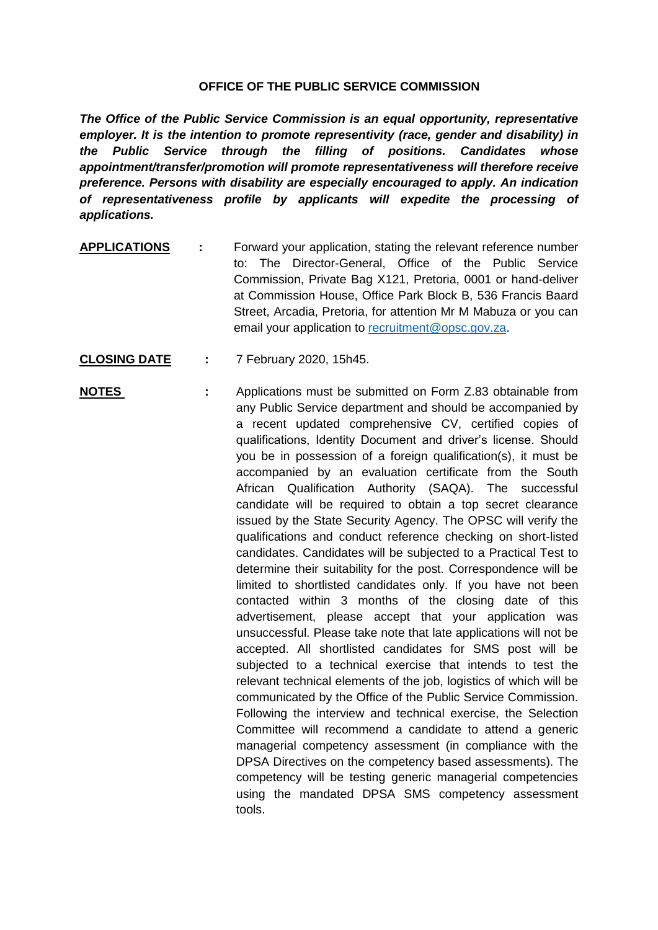## **OFFICE OF THE PUBLIC SERVICE COMMISSION**

*The Office of the Public Service Commission is an equal opportunity, representative employer. It is the intention to promote representivity (race, gender and disability) in the Public Service through the filling of positions. Candidates whose appointment/transfer/promotion will promote representativeness will therefore receive preference. Persons with disability are especially encouraged to apply. An indication of representativeness profile by applicants will expedite the processing of applications.*

- **APPLICATIONS :** Forward your application, stating the relevant reference number to: The Director-General, Office of the Public Service Commission, Private Bag X121, Pretoria, 0001 or hand-deliver at Commission House, Office Park Block B, 536 Francis Baard Street, Arcadia, Pretoria, for attention Mr M Mabuza or you can email your application to [recruitment@opsc.gov.za.](mailto:recruitment@opsc.gov.za)
- **CLOSING DATE :** 7 February 2020, 15h45.
- **NOTES** : Applications must be submitted on Form Z.83 obtainable from any Public Service department and should be accompanied by a recent updated comprehensive CV, certified copies of qualifications, Identity Document and driver's license. Should you be in possession of a foreign qualification(s), it must be accompanied by an evaluation certificate from the South African Qualification Authority (SAQA). The successful candidate will be required to obtain a top secret clearance issued by the State Security Agency. The OPSC will verify the qualifications and conduct reference checking on short-listed candidates. Candidates will be subjected to a Practical Test to determine their suitability for the post. Correspondence will be limited to shortlisted candidates only. If you have not been contacted within 3 months of the closing date of this advertisement, please accept that your application was unsuccessful. Please take note that late applications will not be accepted. All shortlisted candidates for SMS post will be subjected to a technical exercise that intends to test the relevant technical elements of the job, logistics of which will be communicated by the Office of the Public Service Commission. Following the interview and technical exercise, the Selection Committee will recommend a candidate to attend a generic managerial competency assessment (in compliance with the DPSA Directives on the competency based assessments). The competency will be testing generic managerial competencies using the mandated DPSA SMS competency assessment tools.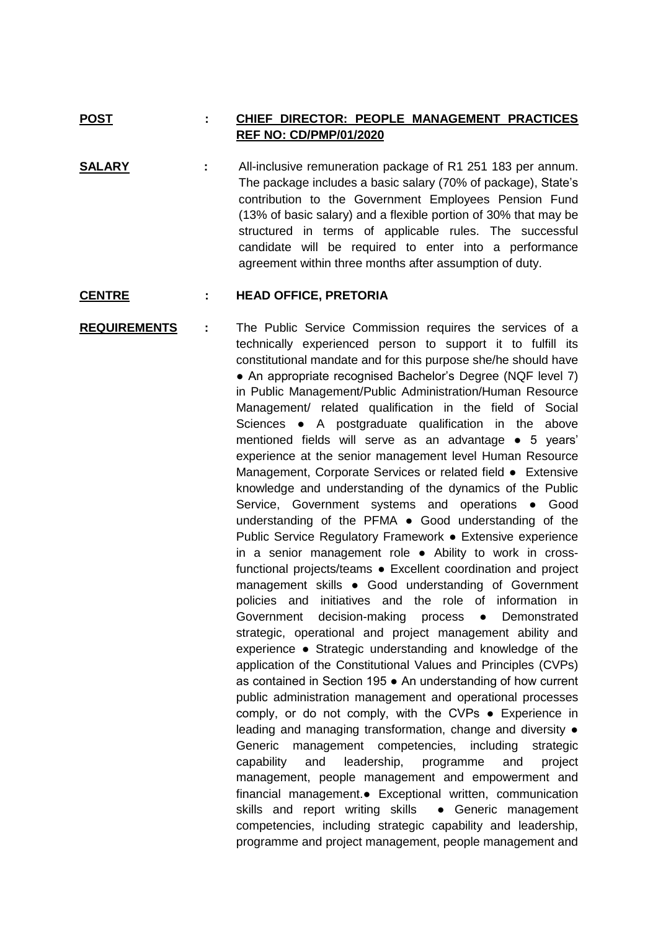## **POST : CHIEF DIRECTOR: PEOPLE MANAGEMENT PRACTICES REF NO: CD/PMP/01/2020**

**SALARY :** All-inclusive remuneration package of R1 251 183 per annum. The package includes a basic salary (70% of package), State's contribution to the Government Employees Pension Fund (13% of basic salary) and a flexible portion of 30% that may be structured in terms of applicable rules. The successful candidate will be required to enter into a performance agreement within three months after assumption of duty.

## **CENTRE : HEAD OFFICE, PRETORIA**

**REQUIREMENTS :** The Public Service Commission requires the services of a technically experienced person to support it to fulfill its constitutional mandate and for this purpose she/he should have • An appropriate recognised Bachelor's Degree (NQF level 7) in Public Management/Public Administration/Human Resource Management/ related qualification in the field of Social Sciences • A postgraduate qualification in the above mentioned fields will serve as an advantage ● 5 years' experience at the senior management level Human Resource Management, Corporate Services or related field ● Extensive knowledge and understanding of the dynamics of the Public Service, Government systems and operations • Good understanding of the PFMA ● Good understanding of the Public Service Regulatory Framework ● Extensive experience in a senior management role ● Ability to work in crossfunctional projects/teams ● Excellent coordination and project management skills ● Good understanding of Government policies and initiatives and the role of information in Government decision-making process ● Demonstrated strategic, operational and project management ability and experience ● Strategic understanding and knowledge of the application of the Constitutional Values and Principles (CVPs) as contained in Section 195 ● An understanding of how current public administration management and operational processes comply, or do not comply, with the CVPs ● Experience in leading and managing transformation, change and diversity ● Generic management competencies, including strategic capability and leadership, programme and project management, people management and empowerment and financial management.● Exceptional written, communication skills and report writing skills • Generic management competencies, including strategic capability and leadership, programme and project management, people management and